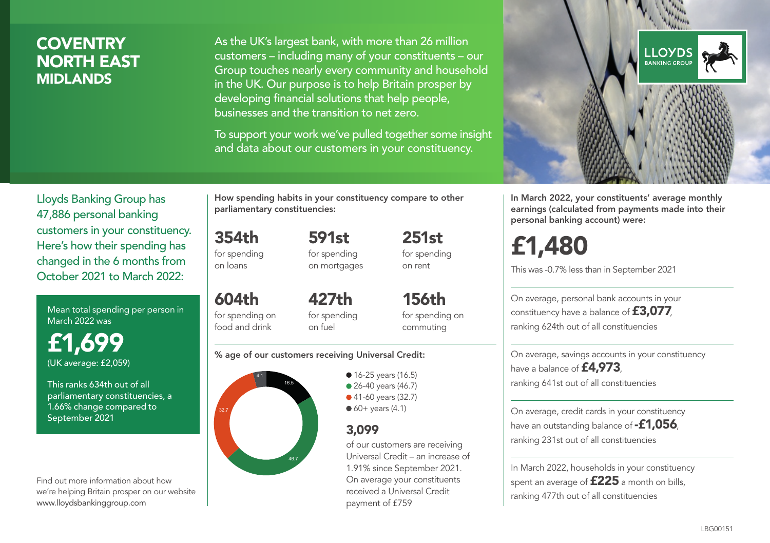### **COVENTRY** NORTH EAST MIDLANDS

As the UK's largest bank, with more than 26 million customers – including many of your constituents – our Group touches nearly every community and household in the UK. Our purpose is to help Britain prosper by developing financial solutions that help people, businesses and the transition to net zero.

To support your work we've pulled together some insight and data about our customers in your constituency.



Mean total spending per person in March 2022 was

£1,699 (UK average: £2,059)

This ranks 634th out of all parliamentary constituencies, a 1.66% change compared to September 2021

Find out more information about how we're helping Britain prosper on our website www.lloydsbankinggroup.com

How spending habits in your constituency compare to other parliamentary constituencies:

for spending 591st for spending

354th

on loans

604th for spending on food and drink

on mortgages 251st for spending on rent

427th for spending

156th for spending on commuting

#### % age of our customers receiving Universal Credit:

on fuel



**16-25 years (16.5)** • 26-40 years (46.7) ● 41-60 years (32.7)  $60+$  years (4.1)

### 3,099

of our customers are receiving Universal Credit – an increase of 1.91% since September 2021. On average your constituents received a Universal Credit payment of £759



In March 2022, your constituents' average monthly earnings (calculated from payments made into their personal banking account) were:

# £1,480

This was -0.7% less than in September 2021

On average, personal bank accounts in your constituency have a balance of £3,077, ranking 624th out of all constituencies

On average, savings accounts in your constituency have a balance of **£4,973** ranking 641st out of all constituencies

On average, credit cards in your constituency have an outstanding balance of **-£1,056**, ranking 231st out of all constituencies

In March 2022, households in your constituency spent an average of £225 a month on bills, ranking 477th out of all constituencies